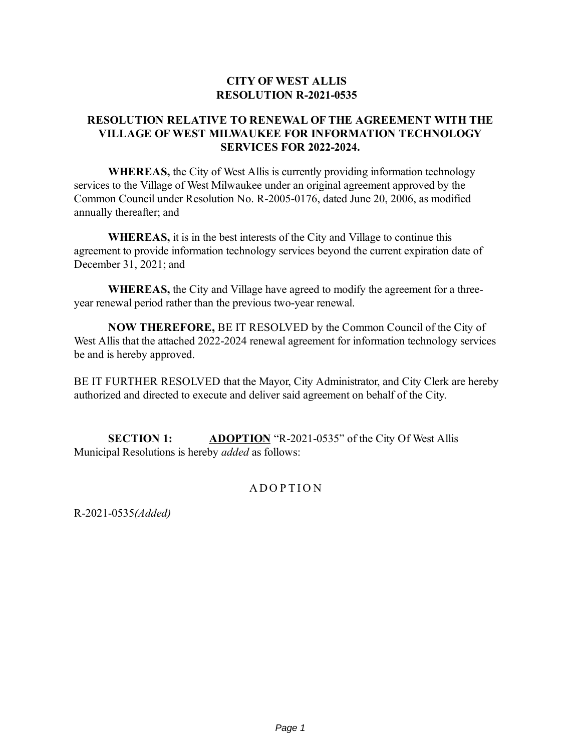## **CITY OF WEST ALLIS RESOLUTION R-2021-0535**

## **RESOLUTION RELATIVE TO RENEWAL OF THE AGREEMENT WITH THE VILLAGE OF WEST MILWAUKEE FOR INFORMATION TECHNOLOGY SERVICES FOR 2022-2024.**

**WHEREAS,** the City of West Allis is currently providing information technology services to the Village of West Milwaukee under an original agreement approved by the Common Council under Resolution No. R-2005-0176, dated June 20, 2006, as modified annually thereafter; and

**WHEREAS,** it is in the best interests of the City and Village to continue this agreement to provide information technology services beyond the current expiration date of December 31, 2021; and

**WHEREAS,** the City and Village have agreed to modify the agreement for a threeyear renewal period rather than the previous two-year renewal.

**NOW THEREFORE,** BE IT RESOLVED by the Common Council of the City of West Allis that the attached 2022-2024 renewal agreement for information technology services be and is hereby approved.

BE IT FURTHER RESOLVED that the Mayor, City Administrator, and City Clerk are hereby authorized and directed to execute and deliver said agreement on behalf of the City.

**SECTION 1: ADOPTION** "R-2021-0535" of the City Of West Allis Municipal Resolutions is hereby *added* as follows:

## A DOPTION

R-2021-0535*(Added)*